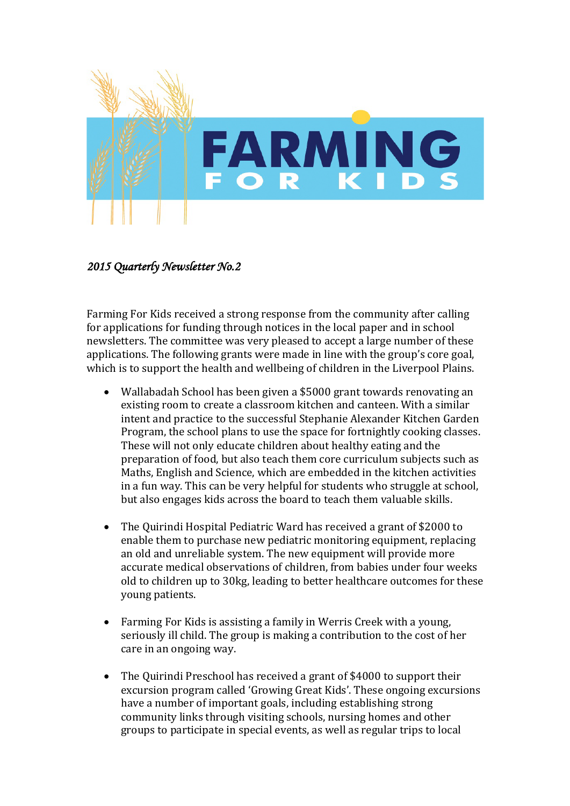

## *2015 Quarterly Newsletter No.2*

Farming For Kids received a strong response from the community after calling for applications for funding through notices in the local paper and in school newsletters. The committee was very pleased to accept a large number of these applications. The following grants were made in line with the group's core goal, which is to support the health and wellbeing of children in the Liverpool Plains.

- Wallabadah School has been given a \$5000 grant towards renovating an existing room to create a classroom kitchen and canteen. With a similar intent and practice to the successful Stephanie Alexander Kitchen Garden Program, the school plans to use the space for fortnightly cooking classes. These will not only educate children about healthy eating and the preparation of food, but also teach them core curriculum subjects such as Maths, English and Science, which are embedded in the kitchen activities in a fun way. This can be very helpful for students who struggle at school, but also engages kids across the board to teach them valuable skills.
- The Quirindi Hospital Pediatric Ward has received a grant of \$2000 to enable them to purchase new pediatric monitoring equipment, replacing an old and unreliable system. The new equipment will provide more accurate medical observations of children, from babies under four weeks old to children up to 30kg, leading to better healthcare outcomes for these young patients.
- Farming For Kids is assisting a family in Werris Creek with a young, seriously ill child. The group is making a contribution to the cost of her care in an ongoing way.
- The Quirindi Preschool has received a grant of \$4000 to support their excursion program called 'Growing Great Kids'. These ongoing excursions have a number of important goals, including establishing strong community links through visiting schools, nursing homes and other groups to participate in special events, as well as regular trips to local